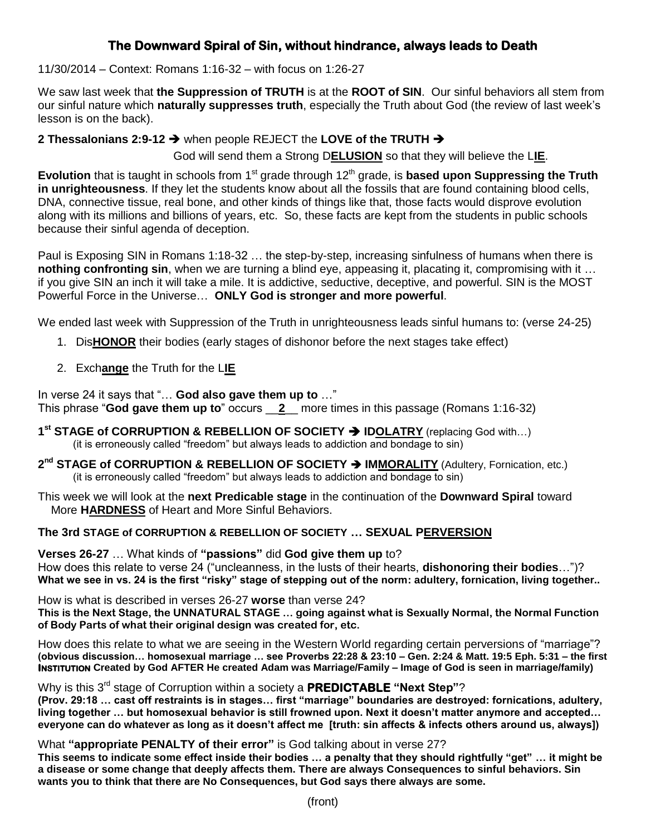## **The Downward Spiral of Sin, without hindrance, always leads to Death**

### 11/30/2014 – Context: Romans 1:16-32 – with focus on 1:26-27

We saw last week that **the Suppression of TRUTH** is at the **ROOT of SIN**. Our sinful behaviors all stem from our sinful nature which **naturally suppresses truth**, especially the Truth about God (the review of last week's lesson is on the back).

**2 Thessalonians 2:9-12** when people REJECT the **LOVE of the TRUTH**

God will send them a Strong D**ELUSION** so that they will believe the L**IE**.

**Evolution** that is taught in schools from 1<sup>st</sup> grade through 12<sup>th</sup> grade, is **based upon Suppressing the Truth in unrighteousness**. If they let the students know about all the fossils that are found containing blood cells, DNA, connective tissue, real bone, and other kinds of things like that, those facts would disprove evolution along with its millions and billions of years, etc. So, these facts are kept from the students in public schools because their sinful agenda of deception.

Paul is Exposing SIN in Romans 1:18-32 … the step-by-step, increasing sinfulness of humans when there is **nothing confronting sin**, when we are turning a blind eye, appeasing it, placating it, compromising with it ... if you give SIN an inch it will take a mile. It is addictive, seductive, deceptive, and powerful. SIN is the MOST Powerful Force in the Universe… **ONLY God is stronger and more powerful**.

We ended last week with Suppression of the Truth in unrighteousness leads sinful humans to: (verse 24-25)

- 1. Dis**HONOR** their bodies (early stages of dishonor before the next stages take effect)
- 2. Exch**ange** the Truth for the L**IE**

In verse 24 it says that "… **God also gave them up to** …" This phrase "**God gave them up to**" occurs \_\_**2**\_\_ more times in this passage (Romans 1:16-32)

**1<sup>st</sup> STAGE of CORRUPTION & REBELLION OF SOCIETY → IDOLATRY (replacing God with...)** (it is erroneously called "freedom" but always leads to addiction and bondage to sin)

2<sup>nd</sup> STAGE of CORRUPTION & REBELLION OF SOCIETY → IMMORALITY (Adultery, Fornication, etc.) (it is erroneously called "freedom" but always leads to addiction and bondage to sin)

This week we will look at the **next Predicable stage** in the continuation of the **Downward Spiral** toward More **HARDNESS** of Heart and More Sinful Behaviors.

### **The 3rd STAGE of CORRUPTION & REBELLION OF SOCIETY … SEXUAL PERVERSION**

**Verses 26-27** … What kinds of **"passions"** did **God give them up** to? How does this relate to verse 24 ("uncleanness, in the lusts of their hearts, **dishonoring their bodies**…")? **What we see in vs. 24 is the first "risky" stage of stepping out of the norm: adultery, fornication, living together..**

How is what is described in verses 26-27 **worse** than verse 24? **This is the Next Stage, the UNNATURAL STAGE … going against what is Sexually Normal, the Normal Function of Body Parts of what their original design was created for, etc.**

How does this relate to what we are seeing in the Western World regarding certain perversions of "marriage"? **(obvious discussion… homosexual marriage … see Proverbs 22:28 & 23:10 – Gen. 2:24 & Matt. 19:5 Eph. 5:31 – the first INSTITUTION Created by God AFTER He created Adam was Marriage/Family – Image of God is seen in marriage/family)**

Why is this 3rd stage of Corruption within a society a **PREDICTABLE "Next Step"**? **(Prov. 29:18 … cast off restraints is in stages… first "marriage" boundaries are destroyed: fornications, adultery, living together … but homosexual behavior is still frowned upon. Next it doesn't matter anymore and accepted… everyone can do whatever as long as it doesn't affect me [truth: sin affects & infects others around us, always])** 

What **"appropriate PENALTY of their error"** is God talking about in verse 27?

**This seems to indicate some effect inside their bodies … a penalty that they should rightfully "get" … it might be a disease or some change that deeply affects them. There are always Consequences to sinful behaviors. Sin wants you to think that there are No Consequences, but God says there always are some.**